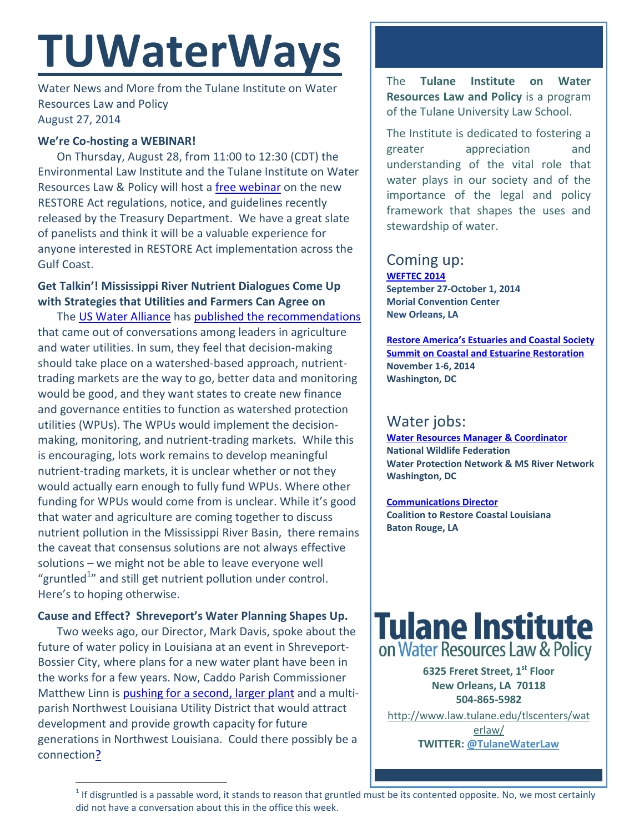# **TUWaterWays**

Water News and More from the Tulane Institute on Water Resources Law and Policy August 27, 2014

## **We're Co-hosting a WEBINAR!**

On Thursday, August 28, from 11:00 to 12:30 (CDT) the Environmental Law Institute and the Tulane Institute on Water Resources Law & Policy will host a [free webinar](http://eli-ocean.org/seminars/restore-treasury-regs/) on the new RESTORE Act regulations, notice, and guidelines recently released by the Treasury Department. We have a great slate of panelists and think it will be a valuable experience for anyone interested in RESTORE Act implementation across the Gulf Coast.

# **Get Talkin'! Mississippi River Nutrient Dialogues Come Up with Strategies that Utilities and Farmers Can Agree on**

The [US Water Alliance](http://www.uswateralliance.org/2014/08/22/mississippi-river-nutrient-dialogues/) has [published the recommendations](https://docs.google.com/gview?url=http://www.uswateralliance.org/wp-content/uploads/2014/08/USWA-MRND-Report6.pdf&chrome=true) that came out of conversations among leaders in agriculture and water utilities. In sum, they feel that decision-making should take place on a watershed-based approach, nutrienttrading markets are the way to go, better data and monitoring would be good, and they want states to create new finance and governance entities to function as watershed protection utilities (WPUs). The WPUs would implement the decisionmaking, monitoring, and nutrient-trading markets. While this is encouraging, lots work remains to develop meaningful nutrient-trading markets, it is unclear whether or not they would actually earn enough to fully fund WPUs. Where other funding for WPUs would come from is unclear. While it's good that water and agriculture are coming together to discuss nutrient pollution in the Mississippi River Basin, there remains the caveat that consensus solutions are not always effective solutions – we might not be able to leave everyone well "gruntled $^{1n}$  and still get nutrient pollution under control. Here's to hoping otherwise.

# **Cause and Effect? Shreveport's Water Planning Shapes Up.**

Two weeks ago, our Director, Mark Davis, spoke about the future of water policy in Louisiana at an event in Shreveport-Bossier City, where plans for a new water plant have been in the works for a few years. Now, Caddo Parish Commissioner Matthew Linn is [pushing for a second, larger plant](http://www.ktbs.com/story/26358665/commissioner-proposes-bond-issue-for-new-water-plant) and a multiparish Northwest Louisiana Utility District that would attract development and provide growth capacity for future generations in Northwest Louisiana. Could there possibly be a connectio[n?](http://media.giphy.com/media/IOCXHPvn3WErm/giphy.gif)

l

The **Tulane Institute on Water Resources Law and Policy** is a program of the Tulane University Law School.

The Institute is dedicated to fostering a greater appreciation and understanding of the vital role that water plays in our society and of the importance of the legal and policy framework that shapes the uses and stewardship of water.

## Coming up: **[WEFTEC 2014](http://www.weftec.org/registration/)**

**September 27-October 1, 2014 Morial Convention Center New Orleans, LA**

**[Restore America's Estuaries and Coastal Society](http://r20.rs6.net/tn.jsp?f=0012iufhQITsCGpmic7Nj0W1INi8-6h80uescyOvfS_bUMX-e_StguS58p5EHh6nRgEmQNhq-IEmHfNI66r1WLUI1nmVYTd3If6B4-ZKjflPH2cZPZ528UxKk004cWieAbuKn8kMmuGt7xkzSf_c1RUYplspmEGAxwxZCHUx7hzNHc=&c=3B5vsP5Gpxft541Pxo12cjeRrFLjmc8b5erclL2Atj1KAgmybibFyw==&ch=lOjBhN14duvjTvW9T_cXNaf8o7Y3dN3YSL3BBwkYtqxDV6sYZHStiA==)  [Summit on Coastal and Estuarine Restoration](http://r20.rs6.net/tn.jsp?f=0012iufhQITsCGpmic7Nj0W1INi8-6h80uescyOvfS_bUMX-e_StguS58p5EHh6nRgEmQNhq-IEmHfNI66r1WLUI1nmVYTd3If6B4-ZKjflPH2cZPZ528UxKk004cWieAbuKn8kMmuGt7xkzSf_c1RUYplspmEGAxwxZCHUx7hzNHc=&c=3B5vsP5Gpxft541Pxo12cjeRrFLjmc8b5erclL2Atj1KAgmybibFyw==&ch=lOjBhN14duvjTvW9T_cXNaf8o7Y3dN3YSL3BBwkYtqxDV6sYZHStiA==) November 1-6, 2014 Washington, DC**

# Water jobs:

**[Water Resources Manager](http://www.nwf.org/How-to-Help/Jobs-at-NWF/Search-Openings.aspx) & Coordinator National Wildlife Federation Water Protection Network & MS River Network Washington, DC**

**[Communications Director](http://www.mississippiriverdelta.org/blog/2014/07/10/job-opening-communications-director-coalition-to-restore-coastal-louisiana/) Coalition to Restore Coastal Louisiana Baton Rouge, LA** 



**6325 Freret Street, 1st Floor New Orleans, LA 70118 504-865-5982** 

[http://www.law.tulane.edu/tlscenters/wat](http://www.law.tulane.edu/tlscenters/waterlaw/) [erlaw/](http://www.law.tulane.edu/tlscenters/waterlaw/) **TWITTER: [@TulaneWaterLaw](http://www.twitter.com/TulaneWaterLaw)**

 $1$  If disgruntled is a passable word, it stands to reason that gruntled must be its contented opposite. No, we most certainly did not have a conversation about this in the office this week.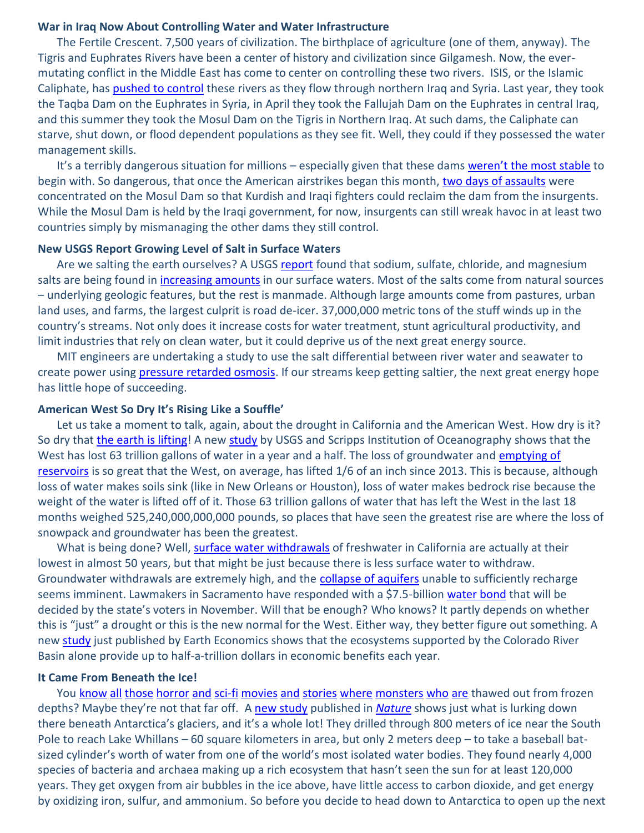### **War in Iraq Now About Controlling Water and Water Infrastructure**

The Fertile Crescent. 7,500 years of civilization. The birthplace of agriculture (one of them, anyway). The Tigris and Euphrates Rivers have been a center of history and civilization since Gilgamesh. Now, the evermutating conflict in the Middle East has come to center on controlling these two rivers. ISIS, or the Islamic Caliphate, has [pushed to control](http://e360.yale.edu/feature/mideast_water_wars_in_iraq_a_battle_for_control_of_water/2796/) these rivers as they flow through northern Iraq and Syria. Last year, they took the Taqba Dam on the Euphrates in Syria, in April they took the Fallujah Dam on the Euphrates in central Iraq, and this summer they took the Mosul Dam on the Tigris in Northern Iraq. At such dams, the Caliphate can starve, shut down, or flood dependent populations as they see fit. Well, they could if they possessed the water management skills.

It's a terribly dangerous situation for millions – especially given that these dams [weren't the most stable](http://www.reuters.com/article/2014/08/19/us-iraq-security-mosul-dam-idUSKBN0GJ1X720140819) to begin with. So dangerous, that once the American airstrikes began this month, [two days of assaults](http://www.nytimes.com/2014/08/20/world/middleeast/in-retaking-of-iraqi-dam-evidence-of-american-impact.html?partner=rssnyt&emc=rss&_r=0) were concentrated on the Mosul Dam so that Kurdish and Iraqi fighters could reclaim the dam from the insurgents. While the Mosul Dam is held by the Iraqi government, for now, insurgents can still wreak havoc in at least two countries simply by mismanaging the other dams they still control.

## **New USGS Report Growing Level of Salt in Surface Waters**

Are we salting the earth ourselves? A USGS [report](http://pubs.usgs.gov/sir/2014/5012/) found that sodium, sulfate, chloride, and magnesium salts are being found in [increasing amounts](http://www.theguardian.com/sustainable-business/2014/aug/21/geological-survey-salinity-pure-water-shortage-chemical-runoff-agribusiness-watershed) in our surface waters. Most of the salts come from natural sources – underlying geologic features, but the rest is manmade. Although large amounts come from pastures, urban land uses, and farms, the largest culprit is road de-icer. 37,000,000 metric tons of the stuff winds up in the country's streams. Not only does it increase costs for water treatment, stunt agricultural productivity, and limit industries that rely on clean water, but it could deprive us of the next great energy source.

MIT engineers are undertaking a study to use the salt differential between river water and seawater to create power using [pressure retarded osmosis.](http://phys.org/news/2014-08-power-river-seawater.html) If our streams keep getting saltier, the next great energy hope has little hope of succeeding.

### **American West So Dry It's Rising Like a Souffle'**

Let us take a moment to talk, again, about the drought in California and the American West. How dry is it? So dry that [the earth is lifting!](http://www.latimes.com/local/la-me-groundwater-20140822-story.html) A new [study](https://dl.dropboxusercontent.com/u/70191956/Borsa_Science_GPSDrought_revised.pdf) by USGS and Scripps Institution of Oceanography shows that the West has lost 63 trillion gallons of water in a year and a half. The loss of groundwater and emptying of [reservoirs](https://imgur.com/a/IgoUq) is so great that the West, on average, has lifted 1/6 of an inch since 2013. This is because, although loss of water makes soils sink (like in New Orleans or Houston), loss of water makes bedrock rise because the weight of the water is lifted off of it. Those 63 trillion gallons of water that has left the West in the last 18 months weighed 525,240,000,000,000 pounds, so places that have seen the greatest rise are where the loss of snowpack and groundwater has been the greatest.

What is being done? Well, [surface water withdrawals](http://www.circleofblue.org/waternews/2014/commentary/editorial-in-the-circle-fresh-focus/usgs-report-california-freshwater-withdrawals-lowest-since-1960s/) of freshwater in California are actually at their lowest in almost 50 years, but that might be just because there is less surface water to withdraw. Groundwater withdrawals are extremely high, and the [collapse of aquifers](http://news.nationalgeographic.com/news/2014/08/140819-groundwater-california-drought-aquifers-hidden-crisis/) unable to sufficiently recharge seems imminent. Lawmakers in Sacramento have responded with a \$7.5-billion [water bond](http://www.latimes.com/local/politics/la-me-pol-water-bond-20140814-story.html) that will be decided by the state's voters in November. Will that be enough? Who knows? It partly depends on whether this is "just" a drought or this is the new normal for the West. Either way, they better figure out something. A new [study](http://www.eartheconomics.org/FileLibrary/file/Reports/Earth%20Economics%20Colorado%20River%20Basin%20ESV%20FINAL.pdf) just published by Earth Economics shows that the ecosystems supported by the Colorado River Basin alone provide up to half-a-trillion dollars in economic benefits each year.

## **It Came From Beneath the Ice!**

You [know](https://en.wikipedia.org/wiki/Who_Goes_There%3F) [all](http://www.imdb.com/title/tt0084787/) [those](http://www.imdb.com/title/tt0905372) [horror](http://www.imdb.com/title/tt0370263/) [and](https://en.wikipedia.org/wiki/A_Colder_War) [sci-fi](https://en.wikipedia.org/wiki/At_the_Mountains_of_Madness) [movies](http://www.imdb.com/title/tt0044121/) and [stories](http://www.imdb.com/title/tt0487037/) [where](http://www.imdb.com/title/tt0418279/) [monsters](http://www.imdb.com/title/tt0053768/) [who](https://en.wikipedia.org/wiki/The_Ice_Warriors) [are](http://www.imdb.com/title/tt0104187/) thawed out from frozen depths? Maybe they're not that far off. A [new study](http://www.nature.com/news/lakes-under-the-ice-antarctica-s-secret-garden-1.15729?WT.mc_id=TWT_NatureNews) published in *[Nature](http://www.nature.com/nature/journal/v512/n7514/full/nature13667.html)* shows just what is lurking down there beneath Antarctica's glaciers, and it's a whole lot! They drilled through 800 meters of ice near the South Pole to reach Lake Whillans – 60 square kilometers in area, but only 2 meters deep – to take a baseball batsized cylinder's worth of water from one of the world's most isolated water bodies. They found nearly 4,000 species of bacteria and archaea making up a rich ecosystem that hasn't seen the sun for at least 120,000 years. They get oxygen from air bubbles in the ice above, have little access to carbon dioxide, and get energy by oxidizing iron, sulfur, and ammonium. So before you decide to head down to Antarctica to open up the next